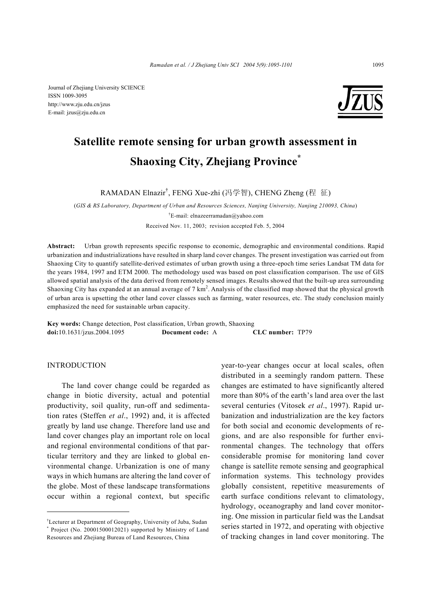

# **Satellite remote sensing for urban growth assessment in Shaoxing City, Zhejiang Province\***

RAMADAN Elnazir† , FENG Xue-zhi (冯学智), CHENG Zheng (程 征)

(*GIS & RS Laboratory, Department of Urban and Resources Sciences, Nanjing University, Nanjing 210093, China*) † E-mail: elnazeerramadan@yahoo.com Received Nov. 11, 2003; revision accepted Feb. 5, 2004

**Abstract:** Urban growth represents specific response to economic, demographic and environmental conditions. Rapid urbanization and industrializations have resulted in sharp land cover changes. The present investigation was carried out from Shaoxing City to quantify satellite-derived estimates of urban growth using a three-epoch time series Landsat TM data for the years 1984, 1997 and ETM 2000. The methodology used was based on post classification comparison. The use of GIS allowed spatial analysis of the data derived from remotely sensed images. Results showed that the built-up area surrounding Shaoxing City has expanded at an annual average of 7 km<sup>2</sup>. Analysis of the classified map showed that the physical growth of urban area is upsetting the other land cover classes such as farming, water resources, etc. The study conclusion mainly emphasized the need for sustainable urban capacity.

**Key words:** Change detection, Post classification, Urban growth, Shaoxing **doi:**10.1631/jzus.2004.1095 **Document code:** A **CLC number:** TP79

# INTRODUCTION

The land cover change could be regarded as change in biotic diversity, actual and potential productivity, soil quality, run-off and sedimentation rates (Steffen *et al*., 1992) and, it is affected greatly by land use change. Therefore land use and land cover changes play an important role on local and regional environmental conditions of that particular territory and they are linked to global environmental change. Urbanization is one of many ways in which humans are altering the land cover of the globe. Most of these landscape transformations occur within a regional context, but specific

year-to-year changes occur at local scales, often distributed in a seemingly random pattern. These changes are estimated to have significantly altered more than 80% of the earth's land area over the last several centuries (Vitosek *et al*., 1997). Rapid urbanization and industrialization are the key factors for both social and economic developments of regions, and are also responsible for further environmental changes. The technology that offers considerable promise for monitoring land cover change is satellite remote sensing and geographical information systems. This technology provides globally consistent, repetitive measurements of earth surface conditions relevant to climatology, hydrology, oceanography and land cover monitoring. One mission in particular field was the Landsat series started in 1972, and operating with objective of tracking changes in land cover monitoring. The

<sup>†</sup> Lecturer at Department of Geography, University of Juba, Sudan \* Project (No. 20001500012021) supported by Ministry of Land Resources and Zhejiang Bureau of Land Resources, China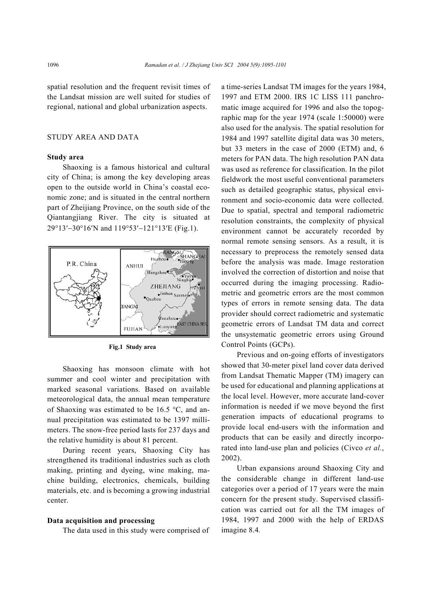spatial resolution and the frequent revisit times of the Landsat mission are well suited for studies of regional, national and global urbanization aspects.

## STUDY AREA AND DATA

### **Study area**

Shaoxing is a famous historical and cultural city of China; is among the key developing areas open to the outside world in China's coastal economic zone; and is situated in the central northern part of Zheijiang Province, on the south side of the Qiantangjiang River. The city is situated at 29°13′−30°16′N and 119°53′−121°13′E (Fig.1).



**Fig.1 Study area** 

Shaoxing has monsoon climate with hot summer and cool winter and precipitation with marked seasonal variations. Based on available meteorological data, the annual mean temperature of Shaoxing was estimated to be 16.5 °C, and annual precipitation was estimated to be 1397 millimeters. The snow-free period lasts for 237 days and the relative humidity is about 81 percent.

During recent years, Shaoxing City has strengthened its traditional industries such as cloth making, printing and dyeing, wine making, machine building, electronics, chemicals, building materials, etc. and is becoming a growing industrial center.

#### **Data acquisition and processing**

The data used in this study were comprised of

a time-series Landsat TM images for the years 1984, 1997 and ETM 2000. IRS 1C LISS 111 panchromatic image acquired for 1996 and also the topographic map for the year 1974 (scale 1:50000) were also used for the analysis. The spatial resolution for 1984 and 1997 satellite digital data was 30 meters, but 33 meters in the case of 2000 (ETM) and, 6 meters for PAN data. The high resolution PAN data was used as reference for classification. In the pilot fieldwork the most useful conventional parameters such as detailed geographic status, physical environment and socio-economic data were collected. Due to spatial, spectral and temporal radiometric resolution constraints, the complexity of physical environment cannot be accurately recorded by normal remote sensing sensors. As a result, it is necessary to preprocess the remotely sensed data before the analysis was made. Image restoration involved the correction of distortion and noise that occurred during the imaging processing. Radiometric and geometric errors are the most common types of errors in remote sensing data. The data provider should correct radiometric and systematic geometric errors of Landsat TM data and correct the unsystematic geometric errors using Ground Control Points (GCPs).

Previous and on-going efforts of investigators showed that 30-meter pixel land cover data derived from Landsat Thematic Mapper (TM) imagery can be used for educational and planning applications at the local level. However, more accurate land-cover information is needed if we move beyond the first generation impacts of educational programs to provide local end-users with the information and products that can be easily and directly incorporated into land-use plan and policies (Civco *et al.*, 2002).

Urban expansions around Shaoxing City and the considerable change in different land-use categories over a period of 17 years were the main concern for the present study. Supervised classification was carried out for all the TM images of 1984, 1997 and 2000 with the help of ERDAS imagine 8.4*.*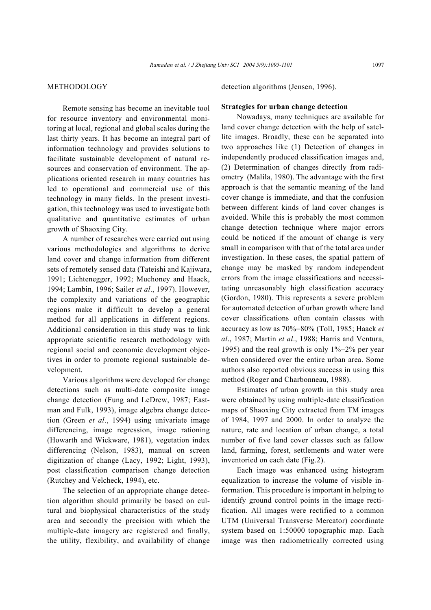# **METHODOLOGY**

Remote sensing has become an inevitable tool for resource inventory and environmental monitoring at local, regional and global scales during the last thirty years. It has become an integral part of information technology and provides solutions to facilitate sustainable development of natural resources and conservation of environment. The applications oriented research in many countries has led to operational and commercial use of this technology in many fields. In the present investigation, this technology was used to investigate both qualitative and quantitative estimates of urban growth of Shaoxing City.

A number of researches were carried out using various methodologies and algorithms to derive land cover and change information from different sets of remotely sensed data (Tateishi and Kajiwara, 1991; Lichtenegger, 1992; Muchoney and Haack, 1994; Lambin, 1996; Sailer *et al*., 1997). However, the complexity and variations of the geographic regions make it difficult to develop a general method for all applications in different regions. Additional consideration in this study was to link appropriate scientific research methodology with regional social and economic development objectives in order to promote regional sustainable development.

Various algorithms were developed for change detections such as multi-date composite image change detection (Fung and LeDrew, 1987; Eastman and Fulk, 1993), image algebra change detection (Green *et al*., 1994) using univariate image differencing, image regression, image rationing (Howarth and Wickware, 1981), vegetation index differencing (Nelson, 1983), manual on screen digitization of change (Lacy, 1992; Light, 1993), post classification comparison change detection (Rutchey and Velcheck, 1994), etc.

The selection of an appropriate change detection algorithm should primarily be based on cultural and biophysical characteristics of the study area and secondly the precision with which the multiple-date imagery are registered and finally, the utility, flexibility, and availability of change

detection algorithms (Jensen, 1996).

#### **Strategies for urban change detection**

Nowadays, many techniques are available for land cover change detection with the help of satellite images. Broadly, these can be separated into two approaches like (1) Detection of changes in independently produced classification images and, (2) Determination of changes directly from radiometry (Malila, 1980). The advantage with the first approach is that the semantic meaning of the land cover change is immediate, and that the confusion between different kinds of land cover changes is avoided. While this is probably the most common change detection technique where major errors could be noticed if the amount of change is very small in comparison with that of the total area under investigation. In these cases, the spatial pattern of change may be masked by random independent errors from the image classifications and necessitating unreasonably high classification accuracy (Gordon, 1980). This represents a severe problem for automated detection of urban growth where land cover classifications often contain classes with accuracy as low as 70%−80% (Toll, 1985; Haack *et al*., 1987; Martin *et al*., 1988; Harris and Ventura, 1995) and the real growth is only 1%−2% per year when considered over the entire urban area. Some authors also reported obvious success in using this method (Roger and Charbonneau, 1988).

Estimates of urban growth in this study area were obtained by using multiple-date classification maps of Shaoxing City extracted from TM images of 1984, 1997 and 2000. In order to analyze the nature, rate and location of urban change, a total number of five land cover classes such as fallow land, farming, forest, settlements and water were inventoried on each date (Fig.2).

Each image was enhanced using histogram equalization to increase the volume of visible information. This procedure is important in helping to identify ground control points in the image rectification. All images were rectified to a common UTM (Universal Transverse Mercator) coordinate system based on 1:50000 topographic map. Each image was then radiometrically corrected using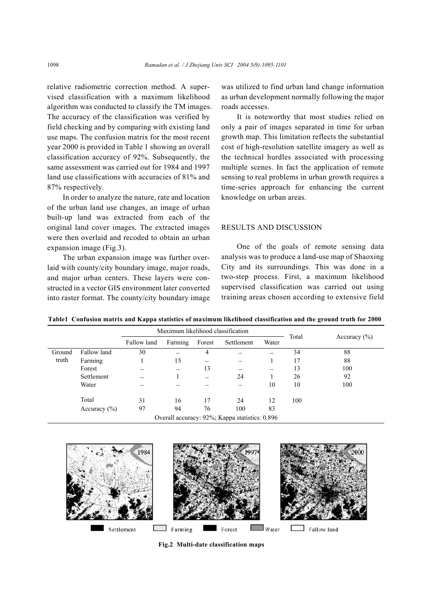relative radiometric correction method. A supervised classification with a maximum likelihood algorithm was conducted to classify the TM images. The accuracy of the classification was verified by field checking and by comparing with existing land use maps. The confusion matrix for the most recent year 2000 is provided in Table 1 showing an overall classification accuracy of 92%. Subsequently, the same assessment was carried out for 1984 and 1997 land use classifications with accuracies of 81% and 87% respectively.

In order to analyze the nature, rate and location of the urban land use changes, an image of urban built-up land was extracted from each of the original land cover images. The extracted images were then overlaid and recoded to obtain an urban expansion image (Fig.3).

The urban expansion image was further overlaid with county/city boundary image, major roads, and major urban centers. These layers were constructed in a vector GIS environment later converted into raster format. The county/city boundary image was utilized to find urban land change information as urban development normally following the major roads accesses.

It is noteworthy that most studies relied on only a pair of images separated in time for urban growth map. This limitation reflects the substantial cost of high-resolution satellite imagery as well as the technical hurdles associated with processing multiple scenes. In fact the application of remote sensing to real problems in urban growth requires a time-series approach for enhancing the current knowledge on urban areas.

# RESULTS AND DISCUSSION

One of the goals of remote sensing data analysis was to produce a land-use map of Shaoxing City and its surroundings. This was done in a two-step process. First, a maximum likelihood supervised classification was carried out using training areas chosen according to extensive field

**Table1 Confusion matrix and Kappa statistics of maximum likelihood classification and the ground truth for 2000**

|                                                |                  | Maximum likelihood classification |         |        |            |       |       |                  |
|------------------------------------------------|------------------|-----------------------------------|---------|--------|------------|-------|-------|------------------|
|                                                |                  | Fallow land                       | Farming | Forest | Settlement | Water | Total | Accuracy $(\% )$ |
| Ground                                         | Fallow land      | 30                                |         | 4      |            |       | 34    | 88               |
| truth                                          | Farming          |                                   | 15      |        |            |       | 17    | 88               |
|                                                | Forest           |                                   |         | 13     |            |       | 13    | 100              |
|                                                | Settlement       |                                   |         | -      | 24         |       | 26    | 92               |
|                                                | Water            |                                   |         |        |            | 10    | 10    | 100              |
|                                                | Total            | 31                                | 16      | 17     | 24         | 12    | 100   |                  |
|                                                | Accuracy $(\% )$ | 97                                | 94      | 76     | 100        | 83    |       |                  |
| Overall accuracy: 92%; Kappa statistics: 0.896 |                  |                                   |         |        |            |       |       |                  |



**Fig.2 Multi-date classification maps**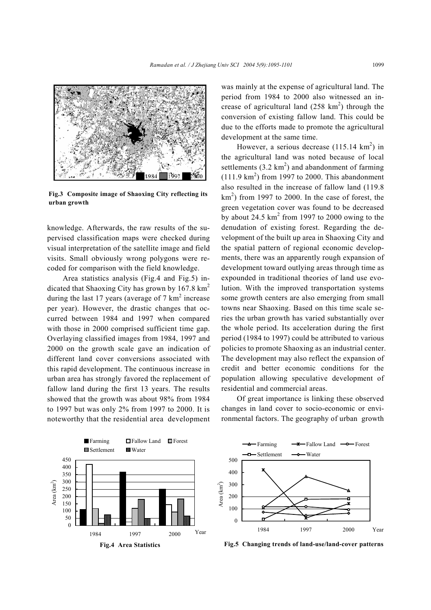

**Fig.3 Composite image of Shaoxing City reflecting its urban growth** 

knowledge. Afterwards, the raw results of the supervised classification maps were checked during visual interpretation of the satellite image and field visits. Small obviously wrong polygons were recoded for comparison with the field knowledge.

Area statistics analysis (Fig.4 and Fig.5) indicated that Shaoxing City has grown by  $167.8 \text{ km}^2$ during the last 17 years (average of  $7 \text{ km}^2$  increase per year). However, the drastic changes that occurred between 1984 and 1997 when compared with those in 2000 comprised sufficient time gap. Overlaying classified images from 1984, 1997 and 2000 on the growth scale gave an indication of different land cover conversions associated with this rapid development. The continuous increase in urban area has strongly favored the replacement of fallow land during the first 13 years. The results showed that the growth was about 98% from 1984 to 1997 but was only 2% from 1997 to 2000. It is noteworthy that the residential area development

was mainly at the expense of agricultural land. The period from 1984 to 2000 also witnessed an increase of agricultural land  $(258 \text{ km}^2)$  through the conversion of existing fallow land. This could be due to the efforts made to promote the agricultural development at the same time.

However, a serious decrease  $(115.14 \text{ km}^2)$  in the agricultural land was noted because of local settlements  $(3.2 \text{ km}^2)$  and abandonment of farming  $(111.9 \text{ km}^2)$  from 1997 to 2000. This abandonment also resulted in the increase of fallow land (119.8  $km<sup>2</sup>$ ) from 1997 to 2000. In the case of forest, the green vegetation cover was found to be decreased by about 24.5  $km^2$  from 1997 to 2000 owing to the denudation of existing forest. Regarding the development of the built up area in Shaoxing City and the spatial pattern of regional economic developments, there was an apparently rough expansion of development toward outlying areas through time as expounded in traditional theories of land use evolution. With the improved transportation systems some growth centers are also emerging from small towns near Shaoxing. Based on this time scale series the urban growth has varied substantially over the whole period. Its acceleration during the first period (1984 to 1997) could be attributed to various policies to promote Shaoxing as an industrial center. The development may also reflect the expansion of credit and better economic conditions for the population allowing speculative development of residential and commercial areas.

Of great importance is linking these observed changes in land cover to socio-economic or environmental factors. The geography of urban growth





**Fig.5 Changing trends of land-use/land-cover patterns**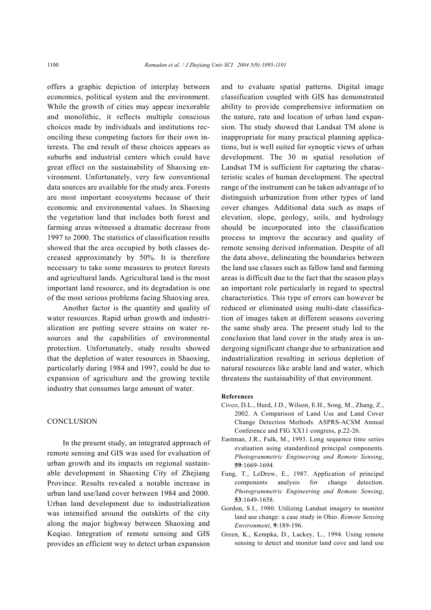offers a graphic depiction of interplay between economics, political system and the environment. While the growth of cities may appear inexorable and monolithic, it reflects multiple conscious choices made by individuals and institutions reconciling these competing factors for their own interests. The end result of these choices appears as suburbs and industrial centers which could have great effect on the sustainability of Shaoxing environment. Unfortunately, very few conventional data sources are available for the study area. Forests are most important ecosystems because of their economic and environmental values. In Shaoxing the vegetation land that includes both forest and farming areas witnessed a dramatic decrease from 1997 to 2000. The statistics of classification results showed that the area occupied by both classes decreased approximately by 50%. It is therefore necessary to take some measures to protect forests and agricultural lands. Agricultural land is the most important land resource, and its degradation is one of the most serious problems facing Shaoxing area.

Another factor is the quantity and quality of water resources. Rapid urban growth and industrialization are putting severe strains on water resources and the capabilities of environmental protection. Unfortunately, study results showed that the depletion of water resources in Shaoxing, particularly during 1984 and 1997, could be due to expansion of agriculture and the growing textile industry that consumes large amount of water.

#### **CONCLUSION**

In the present study, an integrated approach of remote sensing and GIS was used for evaluation of urban growth and its impacts on regional sustainable development in Shaoxing City of Zhejiang Province. Results revealed a notable increase in urban land use/land cover between 1984 and 2000. Urban land development due to industrialization was intensified around the outskirts of the city along the major highway between Shaoxing and Keqiao. Integration of remote sensing and GIS provides an efficient way to detect urban expansion and to evaluate spatial patterns. Digital image classification coupled with GIS has demonstrated ability to provide comprehensive information on the nature, rate and location of urban land expansion. The study showed that Landsat TM alone is inappropriate for many practical planning applications, but is well suited for synoptic views of urban development. The 30 m spatial resolution of Landsat TM is sufficient for capturing the characteristic scales of human development. The spectral range of the instrument can be taken advantage of to distinguish urbanization from other types of land cover changes. Additional data such as maps of elevation, slope, geology, soils, and hydrology should be incorporated into the classification process to improve the accuracy and quality of remote sensing derived information. Despite of all the data above, delineating the boundaries between the land use classes such as fallow land and farming areas is difficult due to the fact that the season plays an important role particularly in regard to spectral characteristics. This type of errors can however be reduced or eliminated using multi-date classification of images taken at different seasons covering the same study area. The present study led to the conclusion that land cover in the study area is undergoing significant change due to urbanization and industrialization resulting in serious depletion of natural resources like arable land and water, which threatens the sustainability of that environment.

#### **References**

- Civco, D.L., Hurd, J.D., Wilson, E.H., Song, M., Zhang, Z., 2002. A Comparison of Land Use and Land Cover Change Detection Methods. ASPRS-ACSM Annual Conference and FIG XX11 congress, p.22-26.
- Eastman, J.R., Fulk, M., 1993. Long sequence time series evaluation using standardized principal components. *Photogrammetric Engineering and Remote Sensing*, **59**:1669-1694.
- Fung, T., LeDrew, E., 1987. Application of principal components analysis for change detection. *Photogrammetric Engineering and Remote Sensing*, **53**:1649-1658.
- Gordon, S.I., 1980. Utilizing Landsat imagery to monitor land use change: a case study in Ohio. *Remote Sensing Environment*, **9**:189-196.
- Green, K., Kempka, D., Lackey, L., 1994. Using remote sensing to detect and monitor land cove and land use